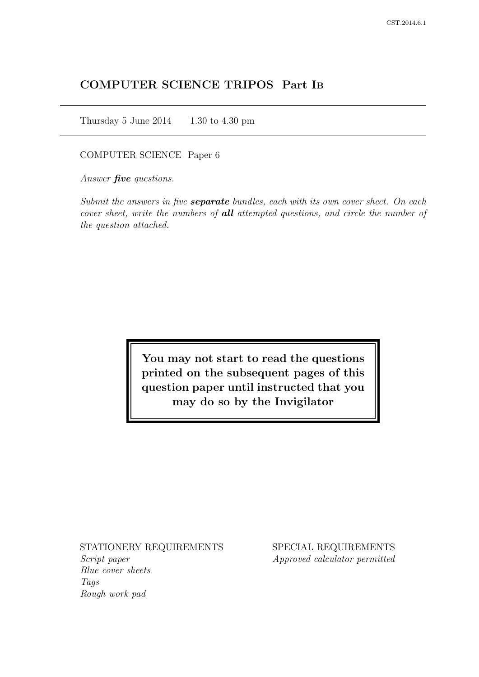# COMPUTER SCIENCE TRIPOS Part IB

Thursday 5 June 2014  $1.30$  to 4.30 pm

# COMPUTER SCIENCE Paper 6

Answer *five* questions.

Submit the answers in five **separate** bundles, each with its own cover sheet. On each cover sheet, write the numbers of **all** attempted questions, and circle the number of the question attached.

> You may not start to read the questions printed on the subsequent pages of this question paper until instructed that you may do so by the Invigilator

## STATIONERY REQUIREMENTS

Script paper Blue cover sheets Tags Rough work pad

SPECIAL REQUIREMENTS Approved calculator permitted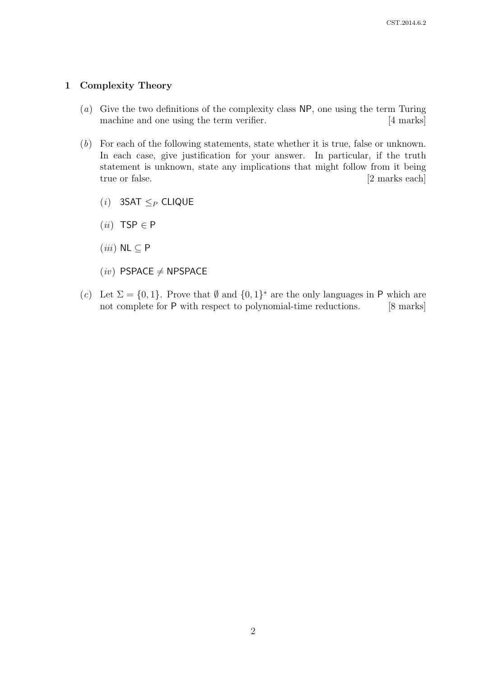# 1 Complexity Theory

- (a) Give the two definitions of the complexity class NP, one using the term Turing machine and one using the term verifier. [4 marks]
- (b) For each of the following statements, state whether it is true, false or unknown. In each case, give justification for your answer. In particular, if the truth statement is unknown, state any implications that might follow from it being true or false. [2 marks each]
	- (*i*) 3SAT  $\leq_P$  CLIQUE
	- $(ii)$  TSP  $\in$  P
	- $(iii)$  NL  $\subseteq$  P
	- $(iv)$  PSPACE  $\neq$  NPSPACE
- (c) Let  $\Sigma = \{0, 1\}$ . Prove that  $\emptyset$  and  $\{0, 1\}^*$  are the only languages in P which are not complete for P with respect to polynomial-time reductions. [8 marks]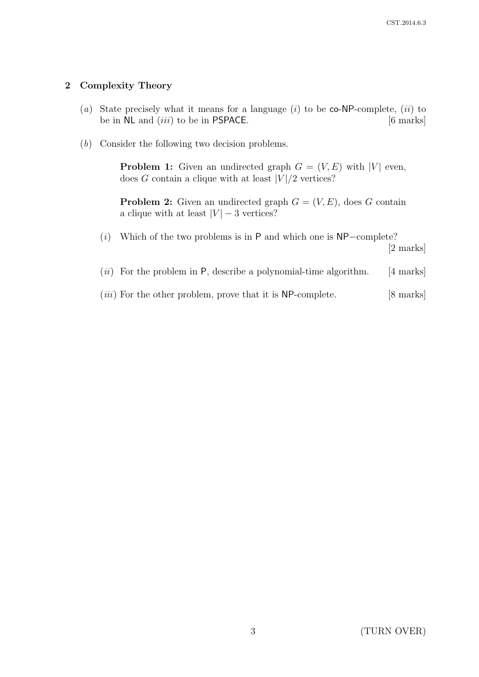# 2 Complexity Theory

- (a) State precisely what it means for a language  $(i)$  to be co-NP-complete,  $(ii)$  to be in  $NL$  and  $(iii)$  to be in PSPACE.  $[6 \text{ marks}]$
- (b) Consider the following two decision problems.

**Problem 1:** Given an undirected graph  $G = (V, E)$  with |V| even, does G contain a clique with at least  $|V|/2$  vertices?

**Problem 2:** Given an undirected graph  $G = (V, E)$ , does G contain a clique with at least  $|V| - 3$  vertices?

(i) Which of the two problems is in P and which one is NP−complete?

[2 marks]

- (*ii*) For the problem in P, describe a polynomial-time algorithm. [4 marks]
- $(iii)$  For the other problem, prove that it is NP-complete. [8 marks]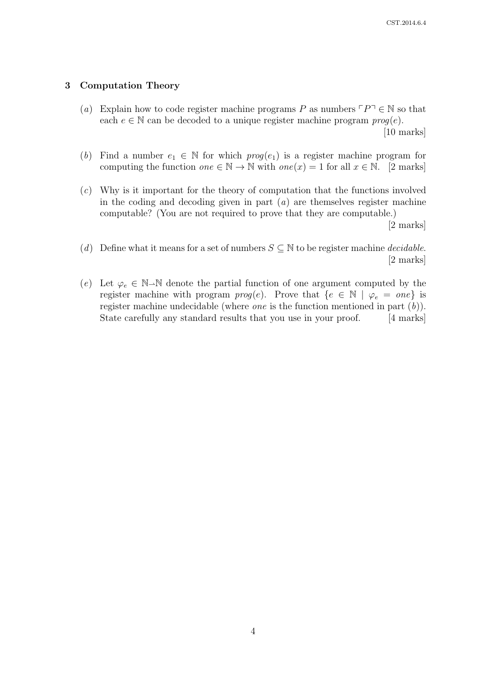# 3 Computation Theory

- (a) Explain how to code register machine programs P as numbers  $\ulcorner P\urcorner \in \mathbb{N}$  so that each  $e \in \mathbb{N}$  can be decoded to a unique register machine program  $\text{proq}(e)$ . [10 marks]
- (b) Find a number  $e_1 \in \mathbb{N}$  for which  $prog(e_1)$  is a register machine program for computing the function  $one \in \mathbb{N} \to \mathbb{N}$  with  $one(x) = 1$  for all  $x \in \mathbb{N}$ . [2 marks]
- $(c)$  Why is it important for the theory of computation that the functions involved in the coding and decoding given in part  $(a)$  are themselves register machine computable? (You are not required to prove that they are computable.)

[2 marks]

- (d) Define what it means for a set of numbers  $S \subseteq \mathbb{N}$  to be register machine *decidable*. [2 marks]
- (e) Let  $\varphi_e \in \mathbb{N}$ -N denote the partial function of one argument computed by the register machine with program  $prog(e)$ . Prove that  $\{e \in \mathbb{N} \mid \varphi_e = one\}$  is register machine undecidable (where *one* is the function mentioned in part  $(b)$ ). State carefully any standard results that you use in your proof. [4 marks]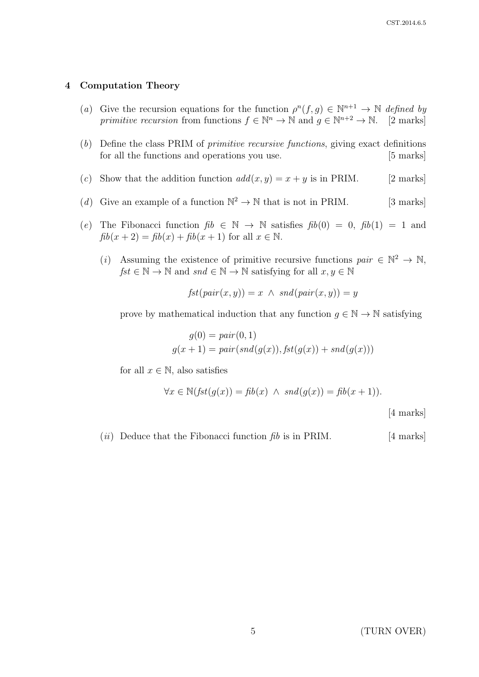#### 4 Computation Theory

- (a) Give the recursion equations for the function  $\rho^{n}(f,g) \in \mathbb{N}^{n+1} \to \mathbb{N}$  defined by primitive recursion from functions  $f \in \mathbb{N}^n \to \mathbb{N}$  and  $g \in \mathbb{N}^{n+2} \to \mathbb{N}$ . [2 marks]
- (b) Define the class PRIM of primitive recursive functions, giving exact definitions for all the functions and operations you use. [5 marks]
- (c) Show that the addition function  $add(x, y) = x + y$  is in PRIM. [2 marks]
- (d) Give an example of a function  $\mathbb{N}^2 \to \mathbb{N}$  that is not in PRIM. [3 marks]
- (e) The Fibonacci function  $fib \in \mathbb{N} \to \mathbb{N}$  satisfies  $fib(0) = 0$ ,  $fib(1) = 1$  and  $fib(x + 2) = fib(x) + fib(x + 1)$  for all  $x \in \mathbb{N}$ .
	- (i) Assuming the existence of primitive recursive functions  $pair \in \mathbb{N}^2 \to \mathbb{N}$ ,  $fst \in \mathbb{N} \to \mathbb{N}$  and  $snd \in \mathbb{N} \to \mathbb{N}$  satisfying for all  $x, y \in \mathbb{N}$

$$
fst(pair(x, y)) = x \land \; snd(pair(x, y)) = y
$$

prove by mathematical induction that any function  $g \in \mathbb{N} \to \mathbb{N}$  satisfying

$$
g(0) = pair(0, 1)
$$
  

$$
g(x + 1) = pair(snd(g(x)), \text{fst}(g(x)) + \text{snd}(g(x)))
$$

for all  $x \in \mathbb{N}$ , also satisfies

$$
\forall x \in \mathbb{N}(\text{fst}(g(x)) = \text{fib}(x) \land \text{snd}(g(x)) = \text{fib}(x+1)).
$$
\n[4 marks]

(*ii*) Deduce that the Fibonacci function  $fib$  is in PRIM. [4 marks]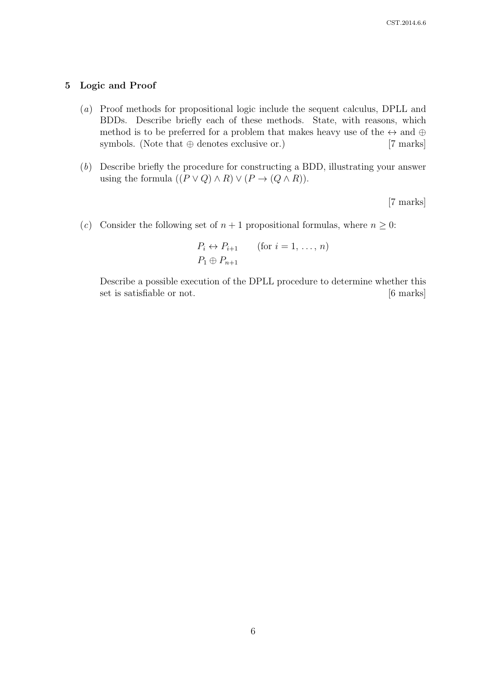## 5 Logic and Proof

- (a) Proof methods for propositional logic include the sequent calculus, DPLL and BDDs. Describe briefly each of these methods. State, with reasons, which method is to be preferred for a problem that makes heavy use of the  $\leftrightarrow$  and  $\oplus$ symbols. (Note that  $oplus$  denotes exclusive or.) [7 marks]
- (b) Describe briefly the procedure for constructing a BDD, illustrating your answer using the formula  $((P \lor Q) \land R) \lor (P \to (Q \land R)).$

[7 marks]

(c) Consider the following set of  $n + 1$  propositional formulas, where  $n \geq 0$ :

$$
P_i \leftrightarrow P_{i+1} \qquad \text{(for } i = 1, \dots, n\text{)}
$$

$$
P_1 \oplus P_{n+1}
$$

Describe a possible execution of the DPLL procedure to determine whether this set is satisfiable or not. [6 marks]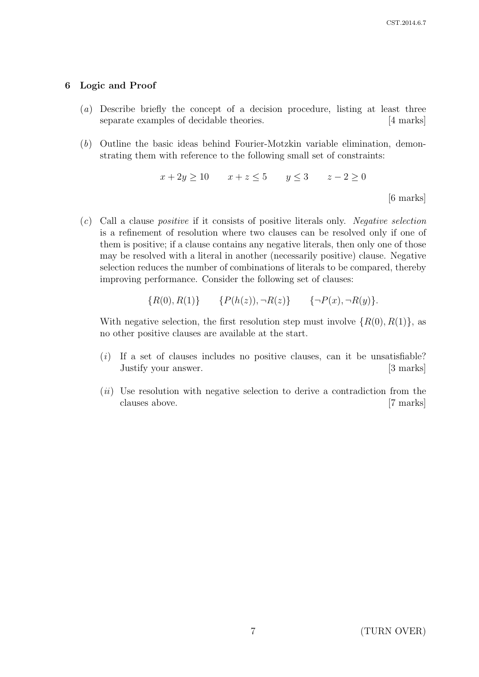[6 marks]

## 6 Logic and Proof

- (a) Describe briefly the concept of a decision procedure, listing at least three separate examples of decidable theories. [4 marks]
- (b) Outline the basic ideas behind Fourier-Motzkin variable elimination, demonstrating them with reference to the following small set of constraints:

$$
x + 2y \ge 10 \qquad x + z \le 5 \qquad y \le 3 \qquad z - 2 \ge 0
$$

(c) Call a clause positive if it consists of positive literals only. Negative selection is a refinement of resolution where two clauses can be resolved only if one of them is positive; if a clause contains any negative literals, then only one of those may be resolved with a literal in another (necessarily positive) clause. Negative selection reduces the number of combinations of literals to be compared, thereby improving performance. Consider the following set of clauses:

$$
{R(0), R(1)} \qquad {P(h(z)), \neg R(z)} \qquad {\neg P(x), \neg R(y)}.
$$

With negative selection, the first resolution step must involve  $\{R(0), R(1)\}\)$ , as no other positive clauses are available at the start.

- $(i)$  If a set of clauses includes no positive clauses, can it be unsatisfiable? Justify your answer. [3 marks]
- $(ii)$  Use resolution with negative selection to derive a contradiction from the clauses above. [7 marks]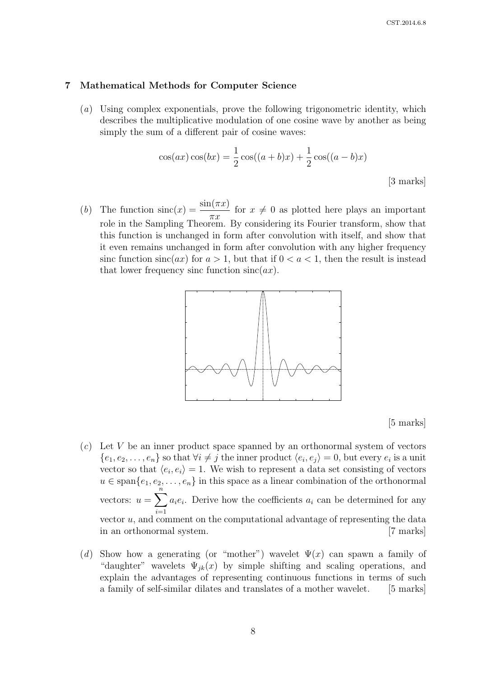#### 7 Mathematical Methods for Computer Science

(a) Using complex exponentials, prove the following trigonometric identity, which describes the multiplicative modulation of one cosine wave by another as being simply the sum of a different pair of cosine waves:

$$
\cos(ax)\cos(bx) = \frac{1}{2}\cos((a+b)x) + \frac{1}{2}\cos((a-b)x)
$$
\n<sup>[3 marks]</sup>

(b) The function  $\operatorname{sinc}(x) = \frac{\sin(\pi x)}{}$  $\pi x$ for  $x \neq 0$  as plotted here plays an important role in the Sampling Theorem. By considering its Fourier transform, show that this function is unchanged in form after convolution with itself, and show that it even remains unchanged in form after convolution with any higher frequency sinc function  $sinc(ax)$  for  $a > 1$ , but that if  $0 < a < 1$ , then the result is instead that lower frequency sinc function  $sinc(ax)$ .



[5 marks]

- in an orthonormal system. [7 marks] vector  $u$ , and comment on the computational advantage of representing the data vectors:  $u = \sum_{i=1}^{n} a_i e_i$  $u \in \text{span}\{e_1, e_2, \ldots, e_n\}$  in this space as a linear combination of the orthonormal  $\{e_1, e_2, \ldots, e_n\}$  so that  $\forall i \neq j$  the inner product  $\langle e_i, e_j \rangle = 0$ , but every  $e_i$  is a unit  $(c)$  Let V be an inner product space spanned by an orthonormal system of vectors vector so that  $\langle e_i, e_i \rangle = 1$ . We wish to represent a data set consisting of vectors  $i=1$  $a_i e_i$ . Derive how the coefficients  $a_i$  can be determined for any
- "daughter" wavelets  $\Psi_{jk}(x)$  by simple shifting and scaling operations, and (d) Show how a generating (or "mother") wavelet  $\Psi(x)$  can spawn a family of explain the advantages of representing continuous functions in terms of such a family of self-similar dilates and translates of a mother wavelet. [5 marks]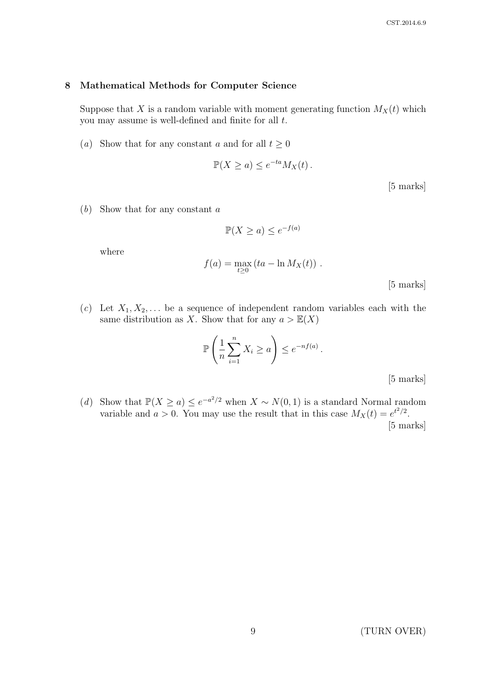#### 8 Mathematical Methods for Computer Science

Suppose that X is a random variable with moment generating function  $M_X(t)$  which you may assume is well-defined and finite for all  $t$ .

(a) Show that for any constant a and for all  $t \geq 0$ 

$$
\mathbb{P}(X \ge a) \le e^{-ta} M_X(t) .
$$

[5 marks]

(b) Show that for any constant a

$$
\mathbb{P}(X \ge a) \le e^{-f(a)}
$$

where

$$
f(a) = \max_{t \ge 0} (ta - \ln M_X(t)).
$$

[5 marks]

(c) Let  $X_1, X_2, \ldots$  be a sequence of independent random variables each with the same distribution as X. Show that for any  $a > \mathbb{E}(X)$ 

$$
\mathbb{P}\left(\frac{1}{n}\sum_{i=1}^n X_i \ge a\right) \le e^{-nf(a)}.
$$

[5 marks]

(d) Show that  $\mathbb{P}(X \ge a) \le e^{-a^2/2}$  when  $X \sim N(0, 1)$  is a standard Normal random variable and  $a > 0$ . You may use the result that in this case  $M_X(t) = e^{t^2/2}$ . [5 marks]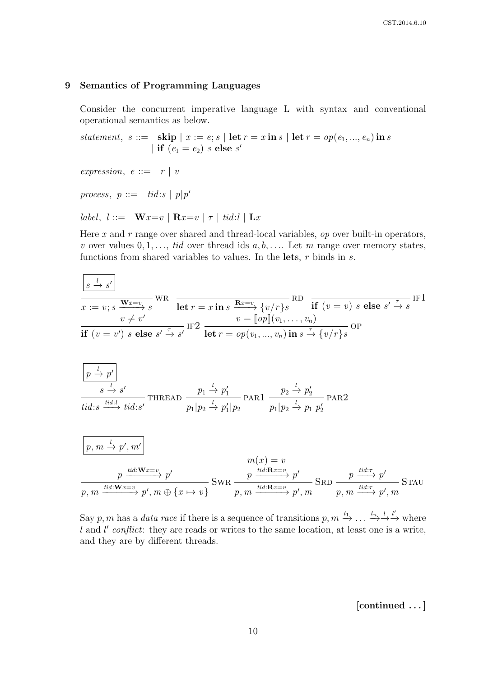# 9 Semantics of Programming Languages

Consider the concurrent imperative language L with syntax and conventional operational semantics as below.

statement, s ::= skip  $|x := e; s |$  let  $r = x$  in s  $|$  let  $r = op(e_1, ..., e_n)$  in s | if  $(e_1 = e_2)$  s else s'

expression,  $e ::= r | v$ 

process,  $p ::= tid:s | p|p'$ 

label,  $l ::= \mathbf{W} x = v \mid \mathbf{R} x = v \mid \tau \mid t id : l \mid \mathbf{L} x$ 

Here x and  $r$  range over shared and thread-local variables,  $op$  over built-in operators, v over values  $0, 1, \ldots$ , tid over thread ids  $a, b, \ldots$ . Let m range over memory states, functions from shared variables to values. In the lets,  $r$  binds in  $s$ .

$$
\frac{\sqrt{s} \stackrel{l}{\rightarrow} s'}{x := v; s} \frac{\mathbf{w}x = v}{\mathbf{w} \neq v'} \text{WR} \quad \frac{\mathbf{let} \ r = x \text{ in } s}{\mathbf{let} \ r = x \text{ in } s} \frac{\mathbf{R}x = v}{\mathbf{v} \neq (v/r) s} \text{RD} \quad \frac{\mathbf{r} \quad \mathbf{let} \ (v = v) \ s \text{ else } s' \stackrel{\tau}{\rightarrow} s'}{\mathbf{if} \ (v = v') \ s \text{ else } s' \stackrel{\tau}{\rightarrow} s'} \text{IF2} \quad \frac{v = \llbracket op \rrbracket (v_1, \ldots, v_n)}{\mathbf{let} \ r = op(v_1, \ldots, v_n) \text{ in } s \stackrel{\tau}{\rightarrow} \{v/r\} s} \text{OP}
$$
\n
$$
\frac{\boxed{p \stackrel{l}{\rightarrow} p' \bracket}{\frac{s \stackrel{l}{\rightarrow} s'}{\mathbf{if} \ (s = v') \ s \text{ else } s' \stackrel{\tau}{\rightarrow} s'}}{\mathbf{if} \ (v = v) \ s \text{ else } s' \stackrel{\tau}{\rightarrow} s'} \text{IF2} \quad \frac{\mathbf{r} \quad \mathbf{let} \ r = op(v_1, \ldots, v_n) \text{ in } s \stackrel{\tau}{\rightarrow} \{v/r\} s}{\mathbf{if} \ (v = v) \ s \text{ else } s' \stackrel{\tau}{\rightarrow} s} \text{IF1}
$$
\n
$$
\frac{\boxed{p \stackrel{l}{\rightarrow} p' \bracket}{\frac{s \stackrel{l}{\rightarrow} s'}{\mathbf{if} \ (v = v) \ s \text{ else } s' \stackrel{\tau}{\rightarrow} s'}}{\mathbf{if} \ (v = v) \ s \text{ else } s' \stackrel{\tau}{\rightarrow} s'} \text{IF3}
$$
\n
$$
\frac{\boxed{v \neq v'}}{p, m \stackrel{l}{\rightarrow} \frac{v_1}{p}} \text{FAR1} \xrightarrow{p \stackrel{l}{\rightarrow} \frac{v_2}{p}} \frac{\frac{1}{p}}{p} \text{PAR2}
$$
\n
$$
\frac{\boxed{p \stackrel{l}{\rightarrow} w \stackrel{l}{\rightarrow} v'}}{p, m \stackrel{l}{\rightarrow} \frac{v'}{p}} \text{PAR2}
$$
\n
$$
\frac{p \stackrel{l
$$

Say p, m has a data race if there is a sequence of transitions  $p, m \xrightarrow{l_1} \ldots \xrightarrow{l_n} \xrightarrow{l'}$  where  $l$  and  $l'$  conflict: they are reads or writes to the same location, at least one is a write, and they are by different threads.

[continued . . . ]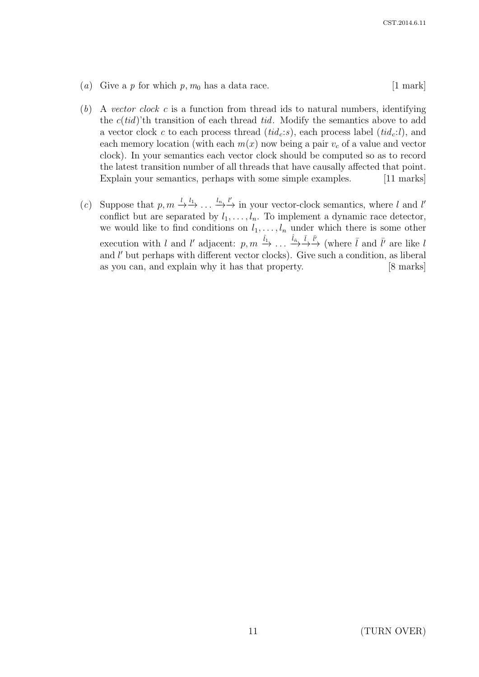- (a) Give a p for which  $p, m_0$  has a data race. [1 mark]
- $(b)$  A vector clock c is a function from thread ids to natural numbers, identifying the  $c(tid)$ 'th transition of each thread tid. Modify the semantics above to add a vector clock c to each process thread  $(tid_c:s)$ , each process label  $(tid_c:l)$ , and each memory location (with each  $m(x)$  now being a pair  $v_c$  of a value and vector clock). In your semantics each vector clock should be computed so as to record the latest transition number of all threads that have causally affected that point. Explain your semantics, perhaps with some simple examples. [11 marks]
- (c) Suppose that  $p, m \stackrel{l}{\to} \stackrel{l_1}{\to} \ldots \stackrel{l_n}{\to} \stackrel{l'}{\to}$  in your vector-clock semantics, where l and l' conflict but are separated by  $l_1, \ldots, l_n$ . To implement a dynamic race detector, we would like to find conditions on  $l_1, \ldots, l_n$  under which there is some other execution with l and l' adjacent:  $p, m \xrightarrow{\hat{l}_1} \ldots \xrightarrow{\hat{l}_{\hat{n}}} \xrightarrow{\bar{l}}$  (where  $\bar{l}$  and  $\bar{l'}$  are like l and l' but perhaps with different vector clocks). Give such a condition, as liberal as you can, and explain why it has that property. [8 marks]